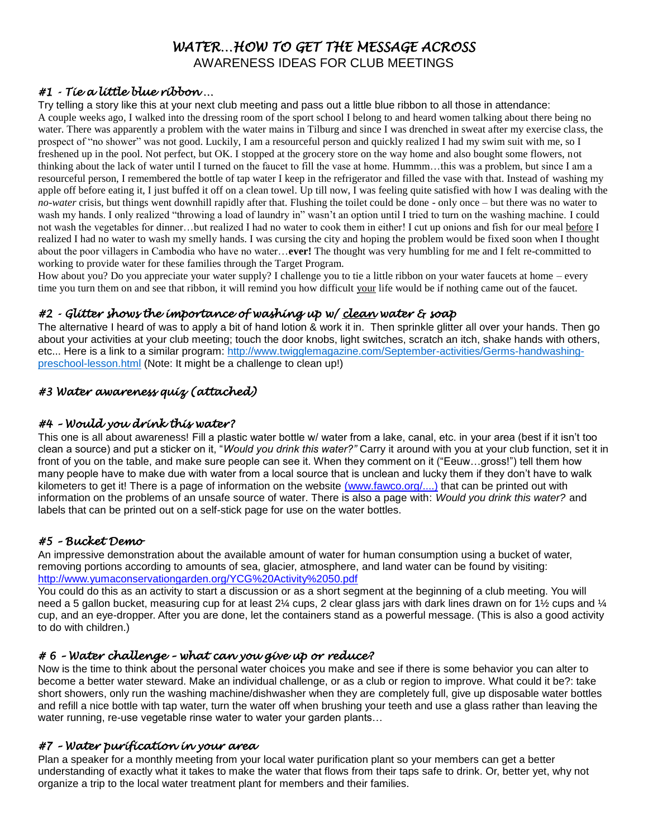## *WATER…HOW TO GET THE MESSAGE ACROSS*

AWARENESS IDEAS FOR CLUB MEETINGS

#### *#1 - Tie a little blue ribbon …*

Try telling a story like this at your next club meeting and pass out a little blue ribbon to all those in attendance: A couple weeks ago, I walked into the dressing room of the sport school I belong to and heard women talking about there being no water. There was apparently a problem with the water mains in Tilburg and since I was drenched in sweat after my exercise class, the prospect of "no shower" was not good. Luckily, I am a resourceful person and quickly realized I had my swim suit with me, so I freshened up in the pool. Not perfect, but OK. I stopped at the grocery store on the way home and also bought some flowers, not thinking about the lack of water until I turned on the faucet to fill the vase at home. Hummm…this was a problem, but since I am a resourceful person, I remembered the bottle of tap water I keep in the refrigerator and filled the vase with that. Instead of washing my apple off before eating it, I just buffed it off on a clean towel. Up till now, I was feeling quite satisfied with how I was dealing with the *no-water* crisis, but things went downhill rapidly after that. Flushing the toilet could be done - only once – but there was no water to wash my hands. I only realized "throwing a load of laundry in" wasn't an option until I tried to turn on the washing machine. I could not wash the vegetables for dinner...but realized I had no water to cook them in either! I cut up onions and fish for our meal before I realized I had no water to wash my smelly hands. I was cursing the city and hoping the problem would be fixed soon when I thought about the poor villagers in Cambodia who have no water…**ever!** The thought was very humbling for me and I felt re-committed to working to provide water for these families through the Target Program.

How about you? Do you appreciate your water supply? I challenge you to tie a little ribbon on your water faucets at home – every time you turn them on and see that ribbon, it will remind you how difficult your life would be if nothing came out of the faucet.

#### *#2 - Glitter shows the importance of washing up w/ clean water & soap*

The alternative I heard of was to apply a bit of hand lotion & work it in. Then sprinkle glitter all over your hands. Then go about your activities at your club meeting; touch the door knobs, light switches, scratch an itch, shake hands with others, etc... Here is a link to a similar program: [http://www.twigglemagazine.com/September-activities/Germs-handwashing](http://www.twigglemagazine.com/September-activities/Germs-handwashing-preschool-lesson.html)[preschool-lesson.html](http://www.twigglemagazine.com/September-activities/Germs-handwashing-preschool-lesson.html) (Note: It might be a challenge to clean up!)

#### *#3 Water awareness quiz (attached)*

#### *#4 – Would you drink this water?*

This one is all about awareness! Fill a plastic water bottle w/ water from a lake, canal, etc. in your area (best if it isn't too clean a source) and put a sticker on it, "*Would you drink this water?"* Carry it around with you at your club function, set it in front of you on the table, and make sure people can see it. When they comment on it ("Eeuw...gross!") tell them how many people have to make due with water from a local source that is unclean and lucky them if they don't have to walk kilometers to get it! There is a page of information on the website (www.fawco.org/....) that can be printed out with information on the problems of an unsafe source of water. There is also a page with: *Would you drink this water?* and labels that can be printed out on a self-stick page for use on the water bottles.

#### *#5 – Bucket Demo*

An impressive demonstration about the available amount of water for human consumption using a bucket of water, removing portions according to amounts of sea, glacier, atmosphere, and land water can be found by visiting: http://www.yumaconservationgarden.org/YCG%20Activity%2050.pdf

You could do this as an activity to start a discussion or as a short segment at the beginning of a club meeting. You will need a 5 gallon bucket, measuring cup for at least 2¼ cups, 2 clear glass jars with dark lines drawn on for 1½ cups and ¼ cup, and an eye-dropper. After you are done, let the containers stand as a powerful message. (This is also a good activity to do with children.)

#### *# 6 – Water challenge – what can you give up or reduce?*

Now is the time to think about the personal water choices you make and see if there is some behavior you can alter to become a better water steward. Make an individual challenge, or as a club or region to improve. What could it be?: take short showers, only run the washing machine/dishwasher when they are completely full, give up disposable water bottles and refill a nice bottle with tap water, turn the water off when brushing your teeth and use a glass rather than leaving the water running, re-use vegetable rinse water to water your garden plants...

#### *#7 – Water purification in your area*

Plan a speaker for a monthly meeting from your local water purification plant so your members can get a better understanding of exactly what it takes to make the water that flows from their taps safe to drink. Or, better yet, why not organize a trip to the local water treatment plant for members and their families.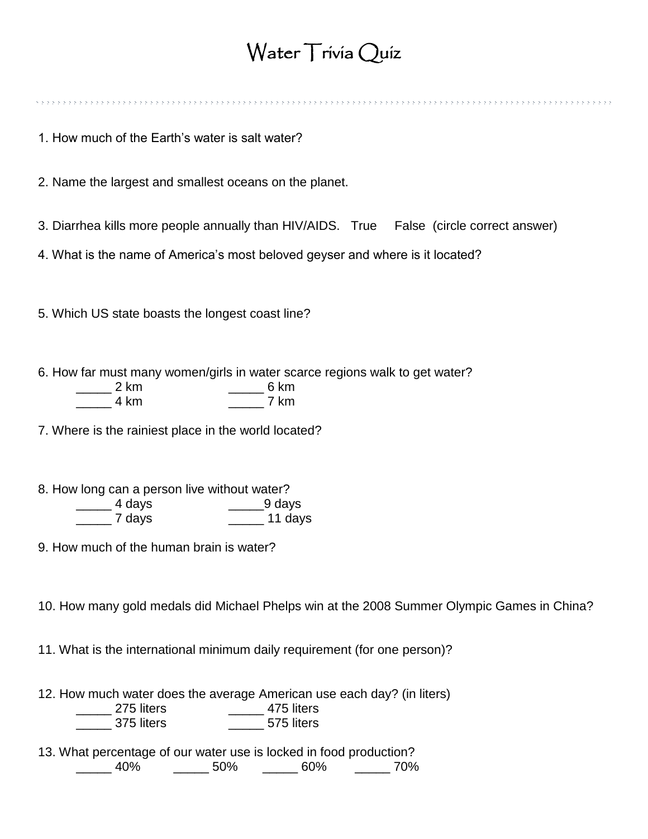## Water Trivia Quiz

1. How much of the Earth's water is salt water?

2. Name the largest and smallest oceans on the planet.

3. Diarrhea kills more people annually than HIV/AIDS. True False (circle correct answer)

4. What is the name of America's most beloved geyser and where is it located?

5. Which US state boasts the longest coast line?

6. How far must many women/girls in water scarce regions walk to get water? \_\_\_\_\_ 2 km \_\_\_\_\_ 6 km

| 4 km | km |
|------|----|
|      |    |
|      |    |

7. Where is the rainiest place in the world located?

8. How long can a person live without water? \_\_\_\_\_ 4 days \_\_\_\_\_9 days \_\_\_\_\_ 7 days \_\_\_\_\_ 11 days

9. How much of the human brain is water?

10. How many gold medals did Michael Phelps win at the 2008 Summer Olympic Games in China?

11. What is the international minimum daily requirement (for one person)?

12. How much water does the average American use each day? (in liters) \_\_\_\_\_ 275 liters \_\_\_\_\_ 475 liters

\_\_\_\_\_ 375 liters \_\_\_\_\_ 575 liters

13. What percentage of our water use is locked in food production? \_\_\_\_\_ 40% \_\_\_\_\_ 50% \_\_\_\_\_ 60% \_\_\_\_\_ 70%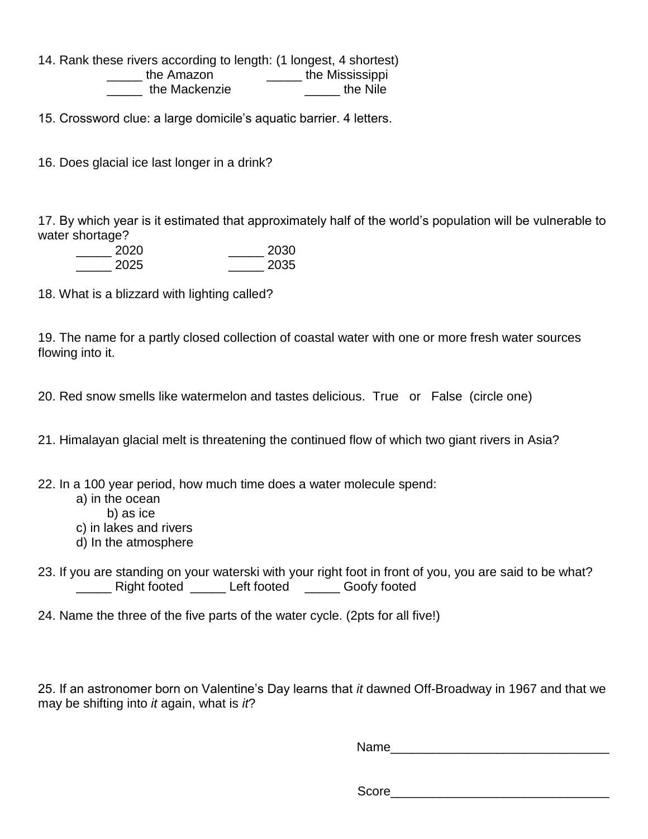14. Rank these rivers according to length: (1 longest, 4 shortest)

\_\_\_\_\_ the Amazon \_\_\_\_\_ the Mississippi \_\_\_\_\_ the Mackenzie \_\_\_\_\_ the Nile

15. Crossword clue: a large domicile's aquatic barrier. 4 letters.

16. Does glacial ice last longer in a drink?

17. By which year is it estimated that approximately half of the world's population will be vulnerable to water shortage?

| 2020 | 2030 |
|------|------|
| 2025 | 2035 |

18. What is a blizzard with lighting called?

19. The name for a partly closed collection of coastal water with one or more fresh water sources flowing into it.

20. Red snow smells like watermelon and tastes delicious. True or False (circle one)

21. Himalayan glacial melt is threatening the continued flow of which two giant rivers in Asia?

22. In a 100 year period, how much time does a water molecule spend:

- a) in the ocean
	- b) as ice
- c) in lakes and rivers
- d) In the atmosphere
- 23. If you are standing on your waterski with your right foot in front of you, you are said to be what? \_\_\_\_\_ Right footed \_\_\_\_\_ Left footed \_\_\_\_\_ Goofy footed
- 24. Name the three of the five parts of the water cycle. (2pts for all five!)

25. If an astronomer born on Valentine's Day learns that *it* dawned Off-Broadway in 1967 and that we may be shifting into *it* again, what is *it*?

 $Name$ 

Score